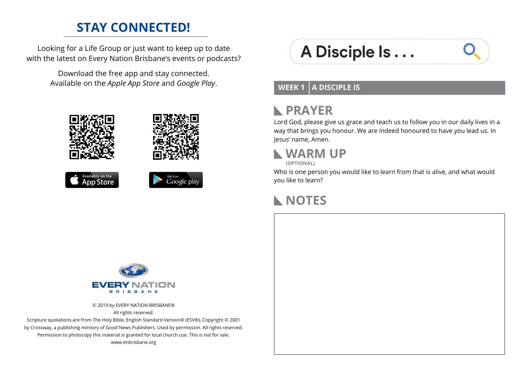### **STAY CONNECTED!**

Looking for a Life Group or just want to keep up to date with the latest on Every Nation Brisbane's events or podcasts?

> Download the free app and stay connected. Available on the *Apple App Store* and *Google Play*.









# A Disciple Is...

**WEEK 1 A DISCIPLE IS**

#### **PRAYER**  $\mathbb{R}$

Lord God, please give us grace and teach us to follow you in our daily lives in a way that brings you honour. We are indeed honoured to have you lead us. In Jesus' name, Amen.

#### **WARM UP (OPTIONAL)**

Who is one person you would like to learn from that is alive, and what would you like to learn?

# **NOTES**



© 2019 by EVERY NATION BRISBANE® All rights reserved.

Scripture quotations are from The Holy Bible, English Standard Version® (ESV®), Copyright © 2001 by Crossway, a publishing ministry of Good News Publishers. Used by permission. All rights reserved. Permission to photocopy this material is granted for local church use. This is not for sale. www.enbrisbane.org